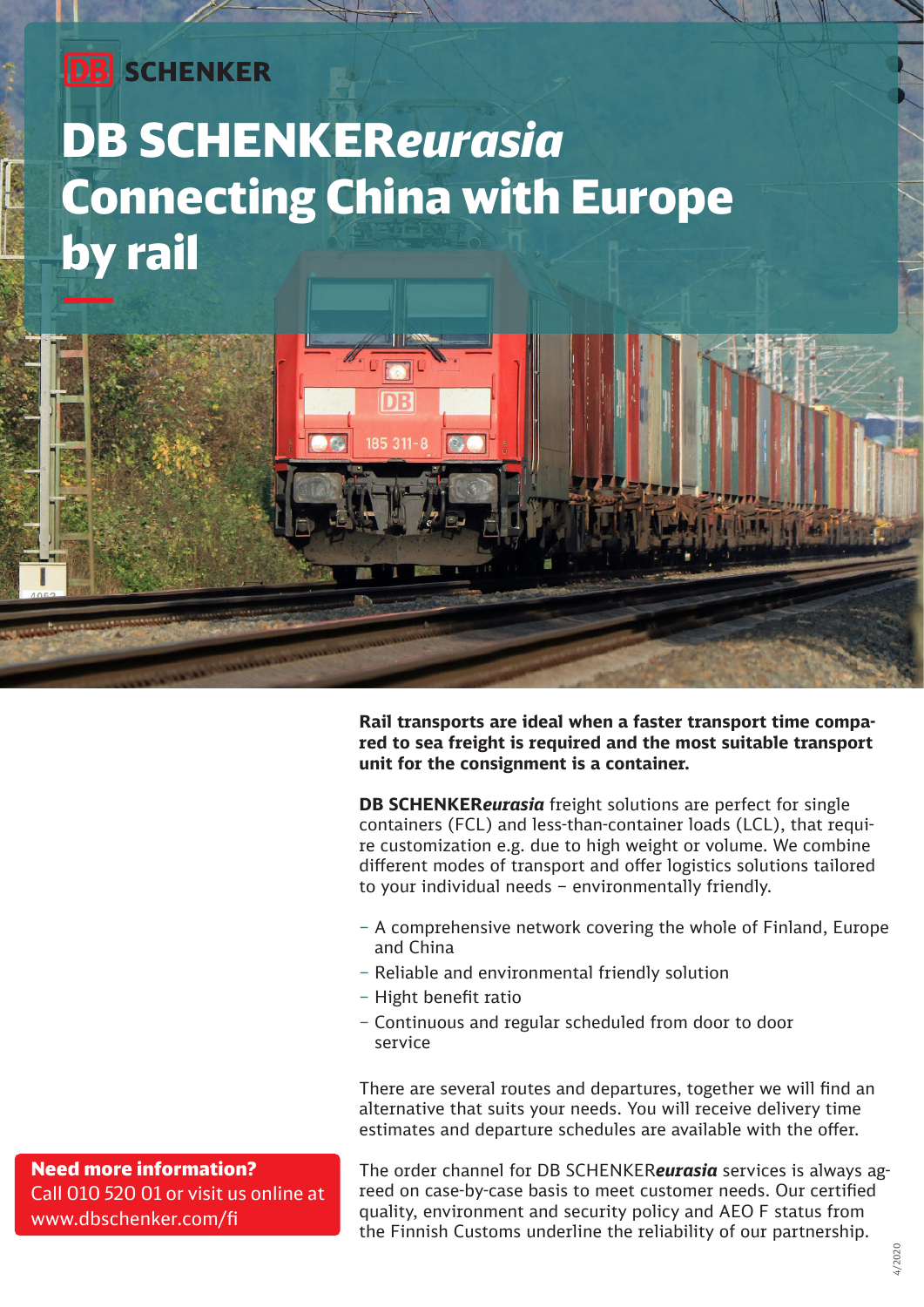### **DB** SCHENKER

# DB SCHENKER*eurasia* Connecting China with Europe by rail

**Rail transports are ideal when a faster transport time compared to sea freight is required and the most suitable transport unit for the consignment is a container.** 

**DB SCHENKER***eurasia* freight solutions are perfect for single containers (FCL) and less-than-container loads (LCL), that require customization e.g. due to high weight or volume. We combine different modes of transport and offer logistics solutions tailored to your individual needs – environmentally friendly.

- A comprehensive network covering the whole of Finland, Europe and China
- Reliable and environmental friendly solution
- Hight benefit ratio
- Continuous and regular scheduled from door to door service

There are several routes and departures, together we will find an alternative that suits your needs. You will receive delivery time estimates and departure schedules are available with the offer.

The order channel for DB SCHENKER*eurasia* services is always agreed on case-by-case basis to meet customer needs. Our certified quality, environment and security policy and AEO F status from the Finnish Customs underline the reliability of our partnership.

Need more information? Call 010 520 01 or visit us online at www.dbschenker.com/fi